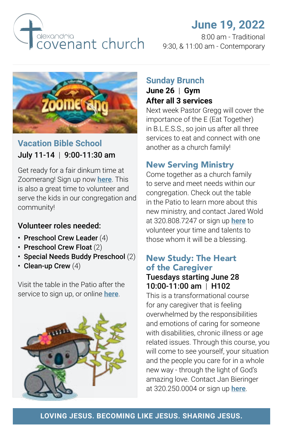

# **June 19, 2022**

8:00 am - Traditional 9:30, & 11:00 am - Contemporary



### **Vacation Bible School** July 11-14 | 9:00-11:30 am

Get ready for a fair dinkum time at Zoomerang! Sign up now **[here](https://alexandriacovenant.ccbchurch.com/goto/forms/333/responses/new)**. This is also a great time to volunteer and serve the kids in our congregation and community!

#### Volunteer roles needed:

- Preschool Crew Leader (4)
- Preschool Crew Float (2)
- Special Needs Buddy Preschool (2)
- Clean-up Crew (4)

Visit the table in the Patio after the service to sign up, or online **[here](https://alexandriacovenant.ccbchurch.com/goto/forms/336/responses/new)**.



### **Sunday Brunch June 26** | **Gym**

# **After all 3 services**

Next week Pastor Gregg will cover the importance of the E (Eat Together) in B.L.E.S.S., so join us after all three services to eat and connect with one another as a church family!

### New Serving Ministry

Come together as a church family to serve and meet needs within our congregation. Check out the table in the Patio to learn more about this new ministry, and contact Jared Wold at 320.808.7247 or sign up **[here](https://alexandriacovenant.ccbchurch.com/goto/forms/337/responses/new)** to volunteer your time and talents to those whom it will be a blessing.

## New Study: The Heart of the Caregiver

#### Tuesdays starting June 28 10:00-11:00 am | H102

This is a transformational course for any caregiver that is feeling overwhelmed by the responsibilities and emotions of caring for someone with disabilities, chronic illness or age related issues. Through this course, you will come to see yourself, your situation and the people you care for in a whole new way - through the light of God's amazing love. Contact Jan Bieringer at 320.250.0004 or sign up **[here](https://alexandriacovenant.ccbchurch.com/goto/forms/338/responses/new)**.